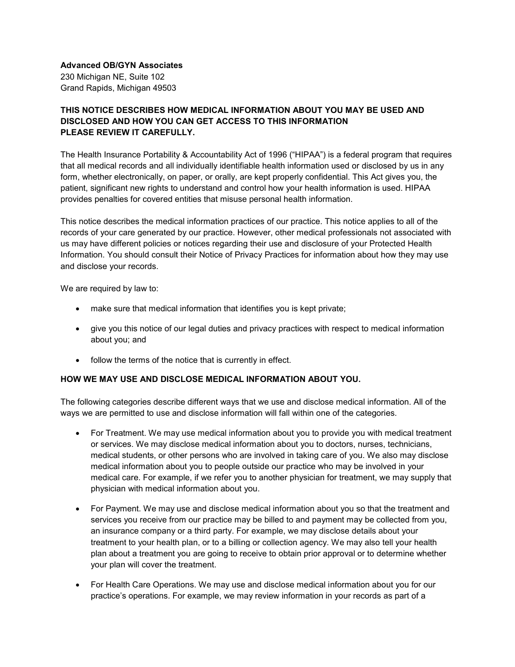**Advanced OB/GYN Associates** 230 Michigan NE, Suite 102 Grand Rapids, Michigan 49503

# **THIS NOTICE DESCRIBES HOW MEDICAL INFORMATION ABOUT YOU MAY BE USED AND DISCLOSED AND HOW YOU CAN GET ACCESS TO THIS INFORMATION PLEASE REVIEW IT CAREFULLY.**

The Health Insurance Portability & Accountability Act of 1996 ("HIPAA") is a federal program that requires that all medical records and all individually identifiable health information used or disclosed by us in any form, whether electronically, on paper, or orally, are kept properly confidential. This Act gives you, the patient, significant new rights to understand and control how your health information is used. HIPAA provides penalties for covered entities that misuse personal health information.

This notice describes the medical information practices of our practice. This notice applies to all of the records of your care generated by our practice. However, other medical professionals not associated with us may have different policies or notices regarding their use and disclosure of your Protected Health Information. You should consult their Notice of Privacy Practices for information about how they may use and disclose your records.

We are required by law to:

- make sure that medical information that identifies you is kept private;
- give you this notice of our legal duties and privacy practices with respect to medical information about you; and
- follow the terms of the notice that is currently in effect.

### **HOW WE MAY USE AND DISCLOSE MEDICAL INFORMATION ABOUT YOU.**

The following categories describe different ways that we use and disclose medical information. All of the ways we are permitted to use and disclose information will fall within one of the categories.

- For Treatment. We may use medical information about you to provide you with medical treatment or services. We may disclose medical information about you to doctors, nurses, technicians, medical students, or other persons who are involved in taking care of you. We also may disclose medical information about you to people outside our practice who may be involved in your medical care. For example, if we refer you to another physician for treatment, we may supply that physician with medical information about you.
- For Payment. We may use and disclose medical information about you so that the treatment and services you receive from our practice may be billed to and payment may be collected from you, an insurance company or a third party. For example, we may disclose details about your treatment to your health plan, or to a billing or collection agency. We may also tell your health plan about a treatment you are going to receive to obtain prior approval or to determine whether your plan will cover the treatment.
- For Health Care Operations. We may use and disclose medical information about you for our practice's operations. For example, we may review information in your records as part of a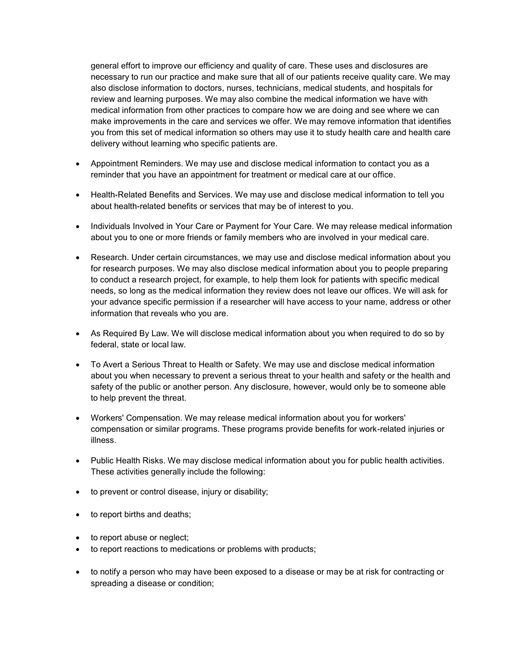general effort to improve our efficiency and quality of care. These uses and disclosures are necessary to run our practice and make sure that all of our patients receive quality care. We may also disclose information to doctors, nurses, technicians, medical students, and hospitals for review and learning purposes. We may also combine the medical information we have with medical information from other practices to compare how we are doing and see where we can make improvements in the care and services we offer. We may remove information that identifies you from this set of medical information so others may use it to study health care and health care delivery without learning who specific patients are.

- Appointment Reminders. We may use and disclose medical information to contact you as a reminder that you have an appointment for treatment or medical care at our office.
- Health-Related Benefits and Services. We may use and disclose medical information to tell you about health-related benefits or services that may be of interest to you.
- Individuals Involved in Your Care or Payment for Your Care. We may release medical information about you to one or more friends or family members who are involved in your medical care.
- Research. Under certain circumstances, we may use and disclose medical information about you for research purposes. We may also disclose medical information about you to people preparing to conduct a research project, for example, to help them look for patients with specific medical needs, so long as the medical information they review does not leave our offices. We will ask for your advance specific permission if a researcher will have access to your name, address or other information that reveals who you are.
- As Required By Law. We will disclose medical information about you when required to do so by federal, state or local law.
- To Avert a Serious Threat to Health or Safety. We may use and disclose medical information about you when necessary to prevent a serious threat to your health and safety or the health and safety of the public or another person. Any disclosure, however, would only be to someone able to help prevent the threat.
- Workers' Compensation. We may release medical information about you for workers' compensation or similar programs. These programs provide benefits for work-related injuries or illness.
- Public Health Risks. We may disclose medical information about you for public health activities. These activities generally include the following:
- to prevent or control disease, injury or disability;
- to report births and deaths;
- to report abuse or neglect;
- to report reactions to medications or problems with products;
- to notify a person who may have been exposed to a disease or may be at risk for contracting or spreading a disease or condition;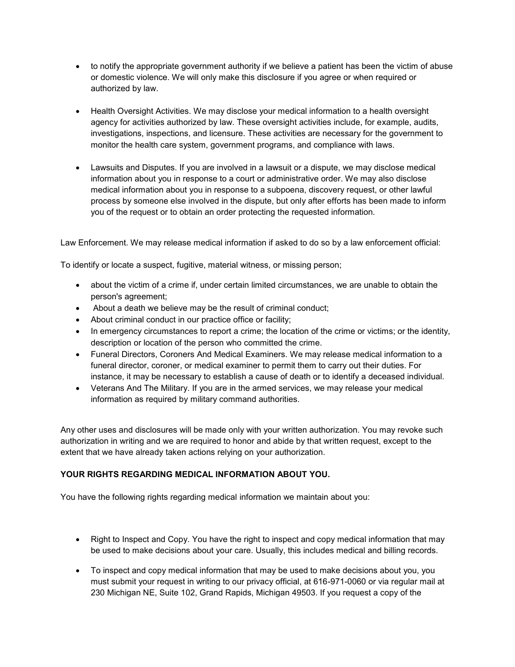- to notify the appropriate government authority if we believe a patient has been the victim of abuse or domestic violence. We will only make this disclosure if you agree or when required or authorized by law.
- Health Oversight Activities. We may disclose your medical information to a health oversight agency for activities authorized by law. These oversight activities include, for example, audits, investigations, inspections, and licensure. These activities are necessary for the government to monitor the health care system, government programs, and compliance with laws.
- Lawsuits and Disputes. If you are involved in a lawsuit or a dispute, we may disclose medical information about you in response to a court or administrative order. We may also disclose medical information about you in response to a subpoena, discovery request, or other lawful process by someone else involved in the dispute, but only after efforts has been made to inform you of the request or to obtain an order protecting the requested information.

Law Enforcement. We may release medical information if asked to do so by a law enforcement official:

To identify or locate a suspect, fugitive, material witness, or missing person;

- about the victim of a crime if, under certain limited circumstances, we are unable to obtain the person's agreement;
- About a death we believe may be the result of criminal conduct;
- About criminal conduct in our practice office or facility;
- In emergency circumstances to report a crime; the location of the crime or victims; or the identity, description or location of the person who committed the crime.
- Funeral Directors, Coroners And Medical Examiners. We may release medical information to a funeral director, coroner, or medical examiner to permit them to carry out their duties. For instance, it may be necessary to establish a cause of death or to identify a deceased individual.
- Veterans And The Military. If you are in the armed services, we may release your medical information as required by military command authorities.

Any other uses and disclosures will be made only with your written authorization. You may revoke such authorization in writing and we are required to honor and abide by that written request, except to the extent that we have already taken actions relying on your authorization.

### **YOUR RIGHTS REGARDING MEDICAL INFORMATION ABOUT YOU.**

You have the following rights regarding medical information we maintain about you:

- Right to Inspect and Copy. You have the right to inspect and copy medical information that may be used to make decisions about your care. Usually, this includes medical and billing records.
- To inspect and copy medical information that may be used to make decisions about you, you must submit your request in writing to our privacy official, at 616-971-0060 or via regular mail at 230 Michigan NE, Suite 102, Grand Rapids, Michigan 49503. If you request a copy of the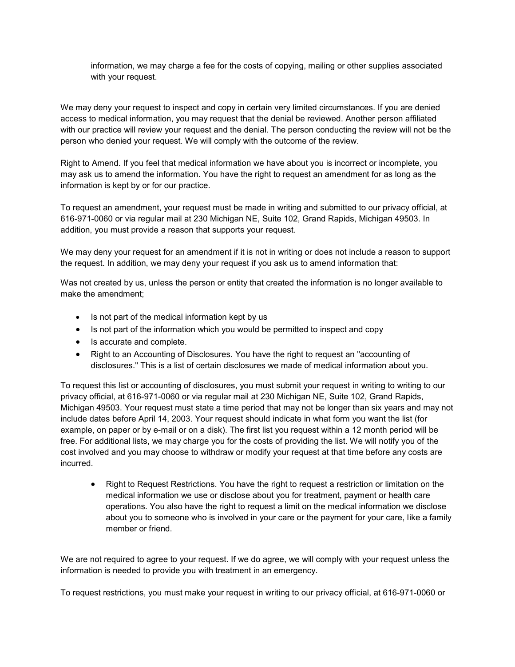information, we may charge a fee for the costs of copying, mailing or other supplies associated with your request.

We may deny your request to inspect and copy in certain very limited circumstances. If you are denied access to medical information, you may request that the denial be reviewed. Another person affiliated with our practice will review your request and the denial. The person conducting the review will not be the person who denied your request. We will comply with the outcome of the review.

Right to Amend. If you feel that medical information we have about you is incorrect or incomplete, you may ask us to amend the information. You have the right to request an amendment for as long as the information is kept by or for our practice.

To request an amendment, your request must be made in writing and submitted to our privacy official, at 616-971-0060 or via regular mail at 230 Michigan NE, Suite 102, Grand Rapids, Michigan 49503. In addition, you must provide a reason that supports your request.

We may deny your request for an amendment if it is not in writing or does not include a reason to support the request. In addition, we may deny your request if you ask us to amend information that:

Was not created by us, unless the person or entity that created the information is no longer available to make the amendment;

- Is not part of the medical information kept by us
- Is not part of the information which you would be permitted to inspect and copy
- Is accurate and complete.
- Right to an Accounting of Disclosures. You have the right to request an "accounting of disclosures." This is a list of certain disclosures we made of medical information about you.

To request this list or accounting of disclosures, you must submit your request in writing to writing to our privacy official, at 616-971-0060 or via regular mail at 230 Michigan NE, Suite 102, Grand Rapids, Michigan 49503. Your request must state a time period that may not be longer than six years and may not include dates before April 14, 2003. Your request should indicate in what form you want the list (for example, on paper or by e-mail or on a disk). The first list you request within a 12 month period will be free. For additional lists, we may charge you for the costs of providing the list. We will notify you of the cost involved and you may choose to withdraw or modify your request at that time before any costs are incurred.

• Right to Request Restrictions. You have the right to request a restriction or limitation on the medical information we use or disclose about you for treatment, payment or health care operations. You also have the right to request a limit on the medical information we disclose about you to someone who is involved in your care or the payment for your care, like a family member or friend.

We are not required to agree to your request. If we do agree, we will comply with your request unless the information is needed to provide you with treatment in an emergency.

To request restrictions, you must make your request in writing to our privacy official, at 616-971-0060 or